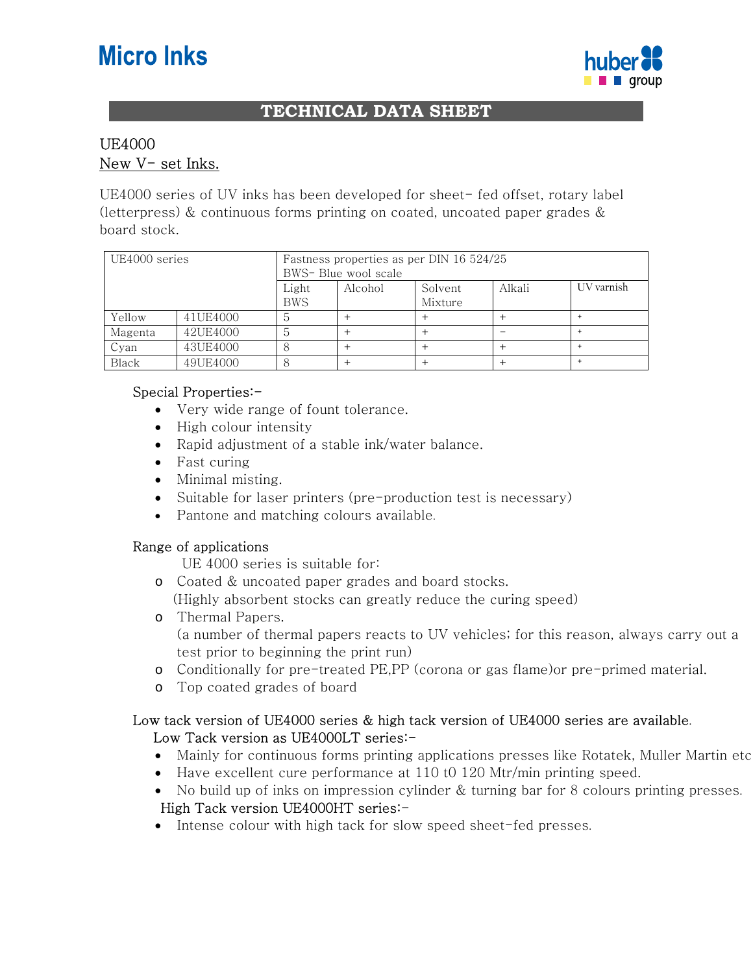# **Micro Inks**



## **TECHNICAL DATA SHEET**

# UE4000 New V- set Inks.

UE4000 series of UV inks has been developed for sheet- fed offset, rotary label (letterpress) & continuous forms printing on coated, uncoated paper grades & board stock.

| UE4000 series |          |                     | Fastness properties as per DIN 16 524/25<br>BWS- Blue wool scale |                    |        |            |  |
|---------------|----------|---------------------|------------------------------------------------------------------|--------------------|--------|------------|--|
|               |          | Light<br><b>BWS</b> | Alcohol                                                          | Solvent<br>Mixture | Alkali | UV varnish |  |
| Yellow        | 41UE4000 | n                   |                                                                  |                    |        |            |  |
| Magenta       | 42UE4000 | n                   |                                                                  |                    |        |            |  |
| Cyan          | 43UE4000 |                     |                                                                  |                    |        |            |  |
| Black         | 49UE4000 |                     |                                                                  |                    |        |            |  |

#### Special Properties:-

- Very wide range of fount tolerance.
- High colour intensity
- Rapid adjustment of a stable ink/water balance.
- Fast curing
- Minimal misting.
- Suitable for laser printers (pre-production test is necessary)
- Pantone and matching colours available.

#### Range of applications

UE 4000 series is suitable for:

- o Coated & uncoated paper grades and board stocks. (Highly absorbent stocks can greatly reduce the curing speed)
- o Thermal Papers. (a number of thermal papers reacts to UV vehicles; for this reason, always carry out a test prior to beginning the print run)
- o Conditionally for pre-treated PE,PP (corona or gas flame)or pre-primed material.
- o Top coated grades of board

### Low tack version of UE4000 series & high tack version of UE4000 series are available. Low Tack version as UE4000LT series:-

- Mainly for continuous forms printing applications presses like Rotatek, Muller Martin etc
- Have excellent cure performance at 110 t0 120 Mtr/min printing speed.
- No build up of inks on impression cylinder & turning bar for 8 colours printing presses.

# High Tack version UE4000HT series:-

• Intense colour with high tack for slow speed sheet-fed presses.